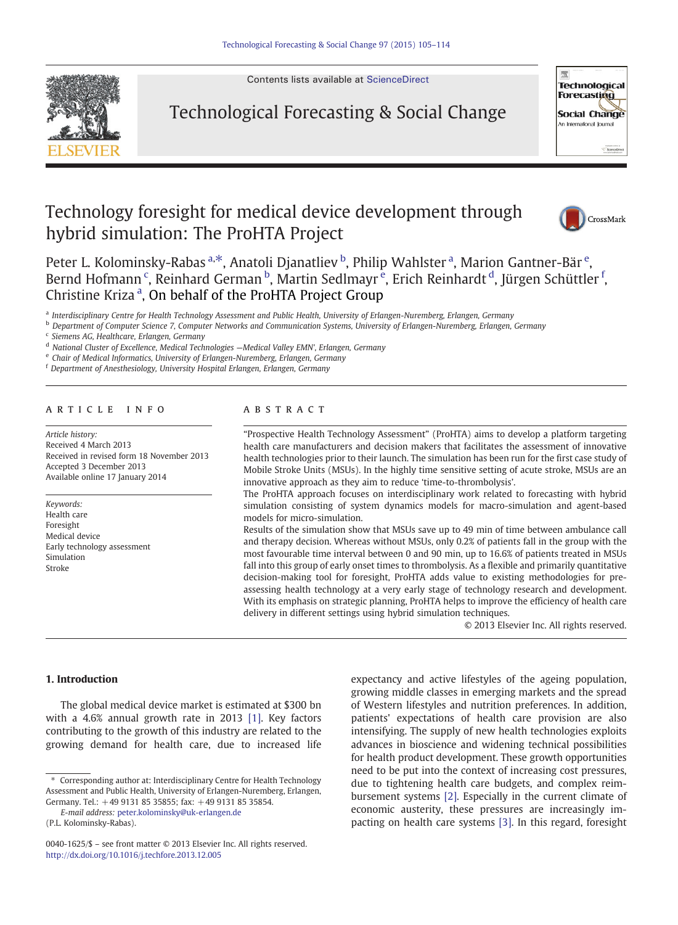

Contents lists available at [ScienceDirect](http://www.sciencedirect.com/science/journal/00401625)

## Technological Forecasting & Social Change



# Technology foresight for medical device development through hybrid simulation: The ProHTA Project



Peter L. Kolominsky-Rabas <sup>a,\*</sup>, Anatoli Djanatliev <sup>b</sup>, Philip Wahlster <sup>a</sup>, Marion Gantner-Bär <sup>e</sup>, Bernd Hofmann <sup>c</sup>, Reinhard German <sup>b</sup>, Martin Sedlmayr <sup>e</sup>, Erich Reinhardt <sup>d</sup>, Jürgen Schüttler <sup>f</sup>, Christine Kriza<sup>a</sup>, On behalf of the ProHTA Project Group

a Interdisciplinary Centre for Health Technology Assessment and Public Health, University of Erlangen-Nuremberg, Erlangen, Germany

b Department of Computer Science 7, Computer Networks and Communication Systems, University of Erlangen-Nuremberg, Erlangen, Germany

<sup>c</sup> Siemens AG, Healthcare, Erlangen, Germany

<sup>d</sup> National Cluster of Excellence, Medical Technologies —Medical Valley EMN', Erlangen, Germany

<sup>e</sup> Chair of Medical Informatics, University of Erlangen-Nuremberg, Erlangen, Germany

<sup>f</sup> Department of Anesthesiology, University Hospital Erlangen, Erlangen, Germany

#### article info abstract

Article history: Received 4 March 2013 Received in revised form 18 November 2013 Accepted 3 December 2013 Available online 17 January 2014

Keywords: Health care Foresight Medical device Early technology assessment Simulation Stroke

"Prospective Health Technology Assessment" (ProHTA) aims to develop a platform targeting health care manufacturers and decision makers that facilitates the assessment of innovative health technologies prior to their launch. The simulation has been run for the first case study of Mobile Stroke Units (MSUs). In the highly time sensitive setting of acute stroke, MSUs are an innovative approach as they aim to reduce 'time-to-thrombolysis'.

The ProHTA approach focuses on interdisciplinary work related to forecasting with hybrid simulation consisting of system dynamics models for macro-simulation and agent-based models for micro-simulation.

Results of the simulation show that MSUs save up to 49 min of time between ambulance call and therapy decision. Whereas without MSUs, only 0.2% of patients fall in the group with the most favourable time interval between 0 and 90 min, up to 16.6% of patients treated in MSUs fall into this group of early onset times to thrombolysis. As a flexible and primarily quantitative decision-making tool for foresight, ProHTA adds value to existing methodologies for preassessing health technology at a very early stage of technology research and development. With its emphasis on strategic planning, ProHTA helps to improve the efficiency of health care delivery in different settings using hybrid simulation techniques.

© 2013 Elsevier Inc. All rights reserved.

#### 1. Introduction

The global medical device market is estimated at \$300 bn with a 4.6% annual growth rate in 2013 [\[1\]](#page--1-0). Key factors contributing to the growth of this industry are related to the growing demand for health care, due to increased life expectancy and active lifestyles of the ageing population, growing middle classes in emerging markets and the spread of Western lifestyles and nutrition preferences. In addition, patients' expectations of health care provision are also intensifying. The supply of new health technologies exploits advances in bioscience and widening technical possibilities for health product development. These growth opportunities need to be put into the context of increasing cost pressures, due to tightening health care budgets, and complex reimbursement systems [\[2\].](#page--1-0) Especially in the current climate of economic austerity, these pressures are increasingly impacting on health care systems [\[3\].](#page--1-0) In this regard, foresight

<sup>⁎</sup> Corresponding author at: Interdisciplinary Centre for Health Technology Assessment and Public Health, University of Erlangen-Nuremberg, Erlangen, Germany. Tel.: +49 9131 85 35855; fax: +49 9131 85 35854.

E-mail address: [peter.kolominsky@uk-erlangen.de](mailto:peter.kolominsky@uk-erlangen.de)

<sup>(</sup>P.L. Kolominsky-Rabas).

<sup>0040-1625/\$</sup> – see front matter © 2013 Elsevier Inc. All rights reserved. <http://dx.doi.org/10.1016/j.techfore.2013.12.005>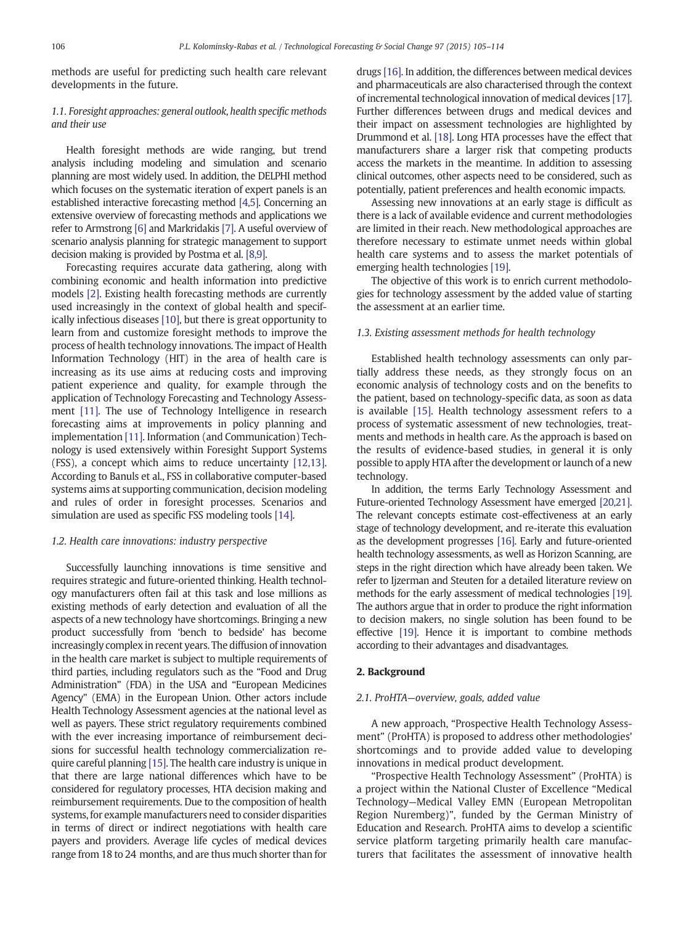methods are useful for predicting such health care relevant developments in the future.

### 1.1. Foresight approaches: general outlook, health specific methods and their use

Health foresight methods are wide ranging, but trend analysis including modeling and simulation and scenario planning are most widely used. In addition, the DELPHI method which focuses on the systematic iteration of expert panels is an established interactive forecasting method [\[4,5\].](#page--1-0) Concerning an extensive overview of forecasting methods and applications we refer to Armstrong [\[6\]](#page--1-0) and Markridakis [\[7\].](#page--1-0) A useful overview of scenario analysis planning for strategic management to support decision making is provided by Postma et al. [\[8,9\].](#page--1-0)

Forecasting requires accurate data gathering, along with combining economic and health information into predictive models [\[2\].](#page--1-0) Existing health forecasting methods are currently used increasingly in the context of global health and specifically infectious diseases [\[10\],](#page--1-0) but there is great opportunity to learn from and customize foresight methods to improve the process of health technology innovations. The impact of Health Information Technology (HIT) in the area of health care is increasing as its use aims at reducing costs and improving patient experience and quality, for example through the application of Technology Forecasting and Technology Assessment [\[11\].](#page--1-0) The use of Technology Intelligence in research forecasting aims at improvements in policy planning and implementation [\[11\].](#page--1-0) Information (and Communication) Technology is used extensively within Foresight Support Systems (FSS), a concept which aims to reduce uncertainty [\[12,13\].](#page--1-0) According to Banuls et al., FSS in collaborative computer-based systems aims at supporting communication, decision modeling and rules of order in foresight processes. Scenarios and simulation are used as specific FSS modeling tools [\[14\].](#page--1-0)

#### 1.2. Health care innovations: industry perspective

Successfully launching innovations is time sensitive and requires strategic and future-oriented thinking. Health technology manufacturers often fail at this task and lose millions as existing methods of early detection and evaluation of all the aspects of a new technology have shortcomings. Bringing a new product successfully from 'bench to bedside' has become increasingly complex in recent years. The diffusion of innovation in the health care market is subject to multiple requirements of third parties, including regulators such as the "Food and Drug Administration" (FDA) in the USA and "European Medicines Agency" (EMA) in the European Union. Other actors include Health Technology Assessment agencies at the national level as well as payers. These strict regulatory requirements combined with the ever increasing importance of reimbursement decisions for successful health technology commercialization require careful planning [\[15\]](#page--1-0). The health care industry is unique in that there are large national differences which have to be considered for regulatory processes, HTA decision making and reimbursement requirements. Due to the composition of health systems, for example manufacturers need to consider disparities in terms of direct or indirect negotiations with health care payers and providers. Average life cycles of medical devices range from 18 to 24 months, and are thus much shorter than for

drugs [\[16\].](#page--1-0) In addition, the differences between medical devices and pharmaceuticals are also characterised through the context of incremental technological innovation of medical devices [\[17\].](#page--1-0) Further differences between drugs and medical devices and their impact on assessment technologies are highlighted by Drummond et al. [\[18\].](#page--1-0) Long HTA processes have the effect that manufacturers share a larger risk that competing products access the markets in the meantime. In addition to assessing clinical outcomes, other aspects need to be considered, such as potentially, patient preferences and health economic impacts.

Assessing new innovations at an early stage is difficult as there is a lack of available evidence and current methodologies are limited in their reach. New methodological approaches are therefore necessary to estimate unmet needs within global health care systems and to assess the market potentials of emerging health technologies [\[19\]](#page--1-0).

The objective of this work is to enrich current methodologies for technology assessment by the added value of starting the assessment at an earlier time.

#### 1.3. Existing assessment methods for health technology

Established health technology assessments can only partially address these needs, as they strongly focus on an economic analysis of technology costs and on the benefits to the patient, based on technology-specific data, as soon as data is available [\[15\].](#page--1-0) Health technology assessment refers to a process of systematic assessment of new technologies, treatments and methods in health care. As the approach is based on the results of evidence-based studies, in general it is only possible to apply HTA after the development or launch of a new technology.

In addition, the terms Early Technology Assessment and Future-oriented Technology Assessment have emerged [\[20,21\].](#page--1-0) The relevant concepts estimate cost-effectiveness at an early stage of technology development, and re-iterate this evaluation as the development progresses [\[16\]](#page--1-0). Early and future-oriented health technology assessments, as well as Horizon Scanning, are steps in the right direction which have already been taken. We refer to Ijzerman and Steuten for a detailed literature review on methods for the early assessment of medical technologies [\[19\].](#page--1-0) The authors argue that in order to produce the right information to decision makers, no single solution has been found to be effective [\[19\].](#page--1-0) Hence it is important to combine methods according to their advantages and disadvantages.

#### 2. Background

#### 2.1. ProHTA—overview, goals, added value

A new approach, "Prospective Health Technology Assessment" (ProHTA) is proposed to address other methodologies' shortcomings and to provide added value to developing innovations in medical product development.

"Prospective Health Technology Assessment" (ProHTA) is a project within the National Cluster of Excellence "Medical Technology—Medical Valley EMN (European Metropolitan Region Nuremberg)", funded by the German Ministry of Education and Research. ProHTA aims to develop a scientific service platform targeting primarily health care manufacturers that facilitates the assessment of innovative health